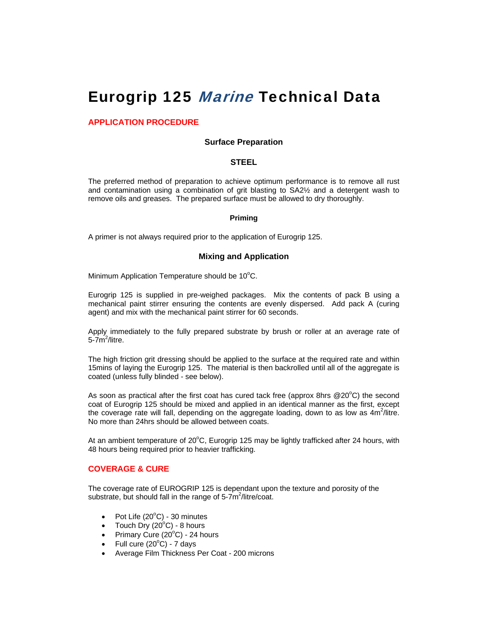# Eurogrip 125 Marine Technical Data

# **APPLICATION PROCEDURE**

#### **Surface Preparation**

#### **STEEL**

The preferred method of preparation to achieve optimum performance is to remove all rust and contamination using a combination of grit blasting to SA2½ and a detergent wash to remove oils and greases. The prepared surface must be allowed to dry thoroughly.

#### **Priming**

A primer is not always required prior to the application of Eurogrip 125.

## **Mixing and Application**

Minimum Application Temperature should be  $10^{\circ}$ C.

Eurogrip 125 is supplied in pre-weighed packages. Mix the contents of pack B using a mechanical paint stirrer ensuring the contents are evenly dispersed. Add pack A (curing agent) and mix with the mechanical paint stirrer for 60 seconds.

Apply immediately to the fully prepared substrate by brush or roller at an average rate of 5-7m<sup>2</sup>/litre.

The high friction grit dressing should be applied to the surface at the required rate and within 15mins of laying the Eurogrip 125. The material is then backrolled until all of the aggregate is coated (unless fully blinded - see below).

As soon as practical after the first coat has cured tack free (approx 8hrs @20 $^{\circ}$ C) the second coat of Eurogrip 125 should be mixed and applied in an identical manner as the first, except the coverage rate will fall, depending on the aggregate loading, down to as low as  $4m^2$ /litre. No more than 24hrs should be allowed between coats.

At an ambient temperature of 20 $\mathrm{^{\circ}C}$ , Eurogrip 125 may be lightly trafficked after 24 hours, with 48 hours being required prior to heavier trafficking.

## **COVERAGE & CURE**

The coverage rate of EUROGRIP 125 is dependant upon the texture and porosity of the substrate, but should fall in the range of 5-7m<sup>2</sup>/litre/coat.

- Pot Life  $(20^{\circ}C)$  30 minutes
- Touch Dry  $(20^{\circ}C)$  8 hours
- Primary Cure  $(20^{\circ}$ C) 24 hours
- Full cure  $(20^{\circ}C)$  7 days
- Average Film Thickness Per Coat 200 microns